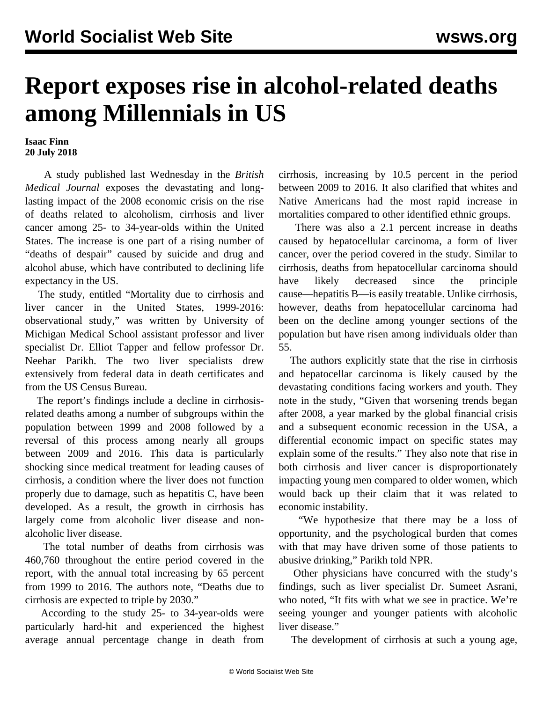## **Report exposes rise in alcohol-related deaths among Millennials in US**

**Isaac Finn 20 July 2018**

 A study published last Wednesday in the *British Medical Journal* exposes the devastating and longlasting impact of the 2008 economic crisis on the rise of deaths related to alcoholism, cirrhosis and liver cancer among 25- to 34-year-olds within the United States. The increase is one part of a rising number of "deaths of despair" caused by suicide and drug and alcohol abuse, which have contributed to declining life expectancy in the US.

 The study, entitled "Mortality due to cirrhosis and liver cancer in the United States, 1999-2016: observational study," was written by University of Michigan Medical School assistant professor and liver specialist Dr. Elliot Tapper and fellow professor Dr. Neehar Parikh. The two liver specialists drew extensively from federal data in death certificates and from the US Census Bureau.

 The report's findings include a decline in cirrhosisrelated deaths among a number of subgroups within the population between 1999 and 2008 followed by a reversal of this process among nearly all groups between 2009 and 2016. This data is particularly shocking since medical treatment for leading causes of cirrhosis, a condition where the liver does not function properly due to damage, such as hepatitis C, have been developed. As a result, the growth in cirrhosis has largely come from alcoholic liver disease and nonalcoholic liver disease.

 The total number of deaths from cirrhosis was 460,760 throughout the entire period covered in the report, with the annual total increasing by 65 percent from 1999 to 2016. The authors note, "Deaths due to cirrhosis are expected to triple by 2030."

 According to the study 25- to 34-year-olds were particularly hard-hit and experienced the highest average annual percentage change in death from cirrhosis, increasing by 10.5 percent in the period between 2009 to 2016. It also clarified that whites and Native Americans had the most rapid increase in mortalities compared to other identified ethnic groups.

 There was also a 2.1 percent increase in deaths caused by hepatocellular carcinoma, a form of liver cancer, over the period covered in the study. Similar to cirrhosis, deaths from hepatocellular carcinoma should have likely decreased since the principle cause—hepatitis B—is easily treatable. Unlike cirrhosis, however, deaths from hepatocellular carcinoma had been on the decline among younger sections of the population but have risen among individuals older than 55.

 The authors explicitly state that the rise in cirrhosis and hepatocellar carcinoma is likely caused by the devastating conditions facing workers and youth. They note in the study, "Given that worsening trends began after 2008, a year marked by the global financial crisis and a subsequent economic recession in the USA, a differential economic impact on specific states may explain some of the results." They also note that rise in both cirrhosis and liver cancer is disproportionately impacting young men compared to older women, which would back up their claim that it was related to economic instability.

 "We hypothesize that there may be a loss of opportunity, and the psychological burden that comes with that may have driven some of those patients to abusive drinking," Parikh told NPR.

 Other physicians have concurred with the study's findings, such as liver specialist Dr. Sumeet Asrani, who noted, "It fits with what we see in practice. We're seeing younger and younger patients with alcoholic liver disease."

The development of cirrhosis at such a young age,